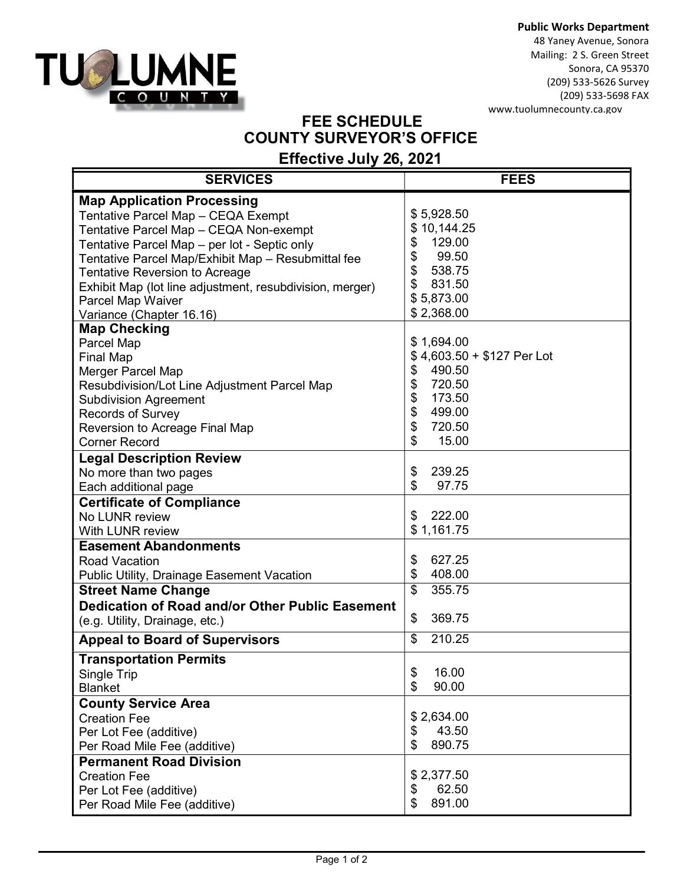



48 Yaney Avenue, Sonora Mailing: 2 S. Green Street Sonora, CA 95370 (209) 533-5626 Survey (209) 533-5698 FAX www.tuolumnecounty.ca.gov

## FEE SCHEDULE COUNTY SURVEYOR'S OFFICE

## Effective July 26, 2021

| <b>SERVICES</b>                                          | <b>FEES</b>                |
|----------------------------------------------------------|----------------------------|
| <b>Map Application Processing</b>                        |                            |
| Tentative Parcel Map - CEQA Exempt                       | \$5,928.50                 |
| Tentative Parcel Map - CEQA Non-exempt                   | \$10,144.25                |
| Tentative Parcel Map - per lot - Septic only             | 129.00<br>\$               |
| Tentative Parcel Map/Exhibit Map - Resubmittal fee       | \$<br>99.50                |
| <b>Tentative Reversion to Acreage</b>                    | \$<br>538.75               |
| Exhibit Map (lot line adjustment, resubdivision, merger) | \$<br>831.50               |
| Parcel Map Waiver                                        | \$5,873.00                 |
| Variance (Chapter 16.16)                                 | \$2,368.00                 |
| <b>Map Checking</b>                                      |                            |
| Parcel Map                                               | \$1,694.00                 |
| <b>Final Map</b>                                         | \$4,603.50 + \$127 Per Lot |
| Merger Parcel Map                                        | \$<br>490.50               |
| Resubdivision/Lot Line Adjustment Parcel Map             | \$<br>720.50               |
| <b>Subdivision Agreement</b>                             | \$<br>173.50               |
| <b>Records of Survey</b>                                 | \$<br>499.00               |
| Reversion to Acreage Final Map                           | \$<br>720.50               |
| <b>Corner Record</b>                                     | \$<br>15.00                |
| <b>Legal Description Review</b>                          |                            |
| No more than two pages                                   | \$<br>239.25               |
| Each additional page                                     | \$<br>97.75                |
| <b>Certificate of Compliance</b>                         |                            |
| No LUNR review                                           | \$<br>222.00               |
| With LUNR review                                         | \$1,161.75                 |
| <b>Easement Abandonments</b>                             |                            |
| <b>Road Vacation</b>                                     | 627.25<br>\$               |
| <b>Public Utility, Drainage Easement Vacation</b>        | \$<br>408.00               |
| <b>Street Name Change</b>                                | 355.75<br>\$               |
| Dedication of Road and/or Other Public Easement          |                            |
| (e.g. Utility, Drainage, etc.)                           | \$<br>369.75               |
| <b>Appeal to Board of Supervisors</b>                    | 210.25<br>\$               |
| <b>Transportation Permits</b>                            |                            |
| Single Trip                                              | \$<br>16.00                |
| <b>Blanket</b>                                           | \$<br>90.00                |
| <b>County Service Area</b>                               |                            |
| <b>Creation Fee</b>                                      | \$2,634.00                 |
| Per Lot Fee (additive)                                   | 43.50<br>\$                |
| Per Road Mile Fee (additive)                             | \$<br>890.75               |
| <b>Permanent Road Division</b>                           |                            |
| <b>Creation Fee</b>                                      | \$2,377.50                 |
| Per Lot Fee (additive)                                   | \$<br>62.50                |
| Per Road Mile Fee (additive)                             | \$<br>891.00               |